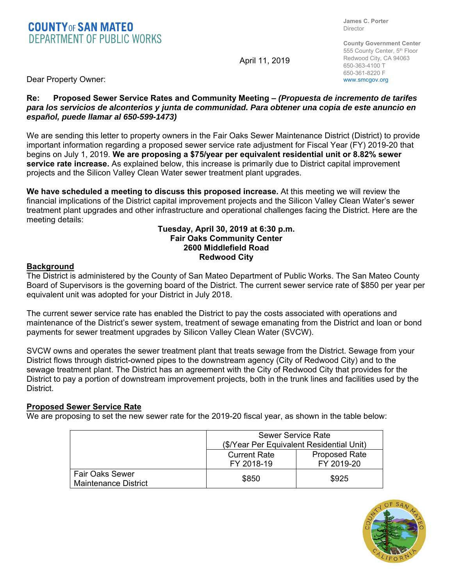# **COUNTY OF SAN MATEO**<br>**DEPARTMENT OF PUBLIC WORKS**

**James C. Porter**  Director

April 11, 2019

**County Government Center**  555 County Center, 5<sup>th</sup> Floor Redwood City, CA 94063 650-363-4100 T 650-361-8220 F www.smcgov.org

Dear Property Owner:

## **Re: Proposed Sewer Service Rates and Community Meeting –** *(Propuesta de incremento de tarifes para los servicios de alconterios y junta de communidad. Para obtener una copia de este anuncio en español, puede llamar al 650-599-1473)*

We are sending this letter to property owners in the Fair Oaks Sewer Maintenance District (District) to provide important information regarding a proposed sewer service rate adjustment for Fiscal Year (FY) 2019-20 that begins on July 1, 2019. **We are proposing a \$75/year per equivalent residential unit or 8.82% sewer service rate increase.** As explained below, this increase is primarily due to District capital improvement projects and the Silicon Valley Clean Water sewer treatment plant upgrades.

**We have scheduled a meeting to discuss this proposed increase.** At this meeting we will review the financial implications of the District capital improvement projects and the Silicon Valley Clean Water's sewer treatment plant upgrades and other infrastructure and operational challenges facing the District. Here are the meeting details:

#### **Tuesday, April 30, 2019 at 6:30 p.m. Fair Oaks Community Center 2600 Middlefield Road Redwood City**

### **Background**

The District is administered by the County of San Mateo Department of Public Works. The San Mateo County Board of Supervisors is the governing board of the District. The current sewer service rate of \$850 per year per equivalent unit was adopted for your District in July 2018.

The current sewer service rate has enabled the District to pay the costs associated with operations and maintenance of the District's sewer system, treatment of sewage emanating from the District and loan or bond payments for sewer treatment upgrades by Silicon Valley Clean Water (SVCW).

SVCW owns and operates the sewer treatment plant that treats sewage from the District. Sewage from your District flows through district-owned pipes to the downstream agency (City of Redwood City) and to the sewage treatment plant. The District has an agreement with the City of Redwood City that provides for the District to pay a portion of downstream improvement projects, both in the trunk lines and facilities used by the District.

## **Proposed Sewer Service Rate**

We are proposing to set the new sewer rate for the 2019-20 fiscal year, as shown in the table below:

|                                                | <b>Sewer Service Rate</b><br>(\$/Year Per Equivalent Residential Unit) |                      |
|------------------------------------------------|------------------------------------------------------------------------|----------------------|
|                                                |                                                                        |                      |
|                                                | <b>Current Rate</b>                                                    | <b>Proposed Rate</b> |
|                                                | FY 2018-19                                                             | FY 2019-20           |
| <b>Fair Oaks Sewer</b><br>Maintenance District | \$850                                                                  | \$925                |